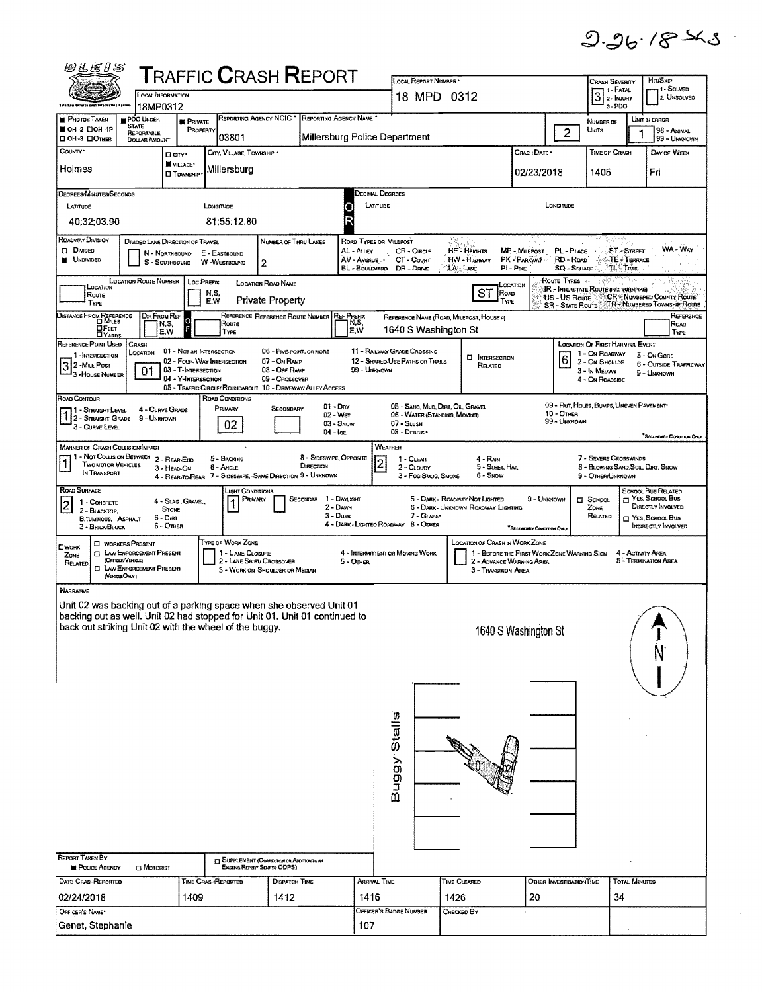$9.96.78 - 5.3$ 

 $\hat{\boldsymbol{\beta}}$ 

 $\mathcal{A}^{\pm}$ 

| 0LE1S                                                                                                                                              |                                                                          |                                                   |                              |                                                             | <b>TRAFFIC CRASH REPORT</b>                                                   |                                 |                                    | LOCAL REPORT NUMBER                                                |                                           |                                                                               |                           |                                          | Crash Severity                                                                                                                                                                                                                                                                                                                                                                                                                                                        |                          | Hm/SxrP                                                     |
|----------------------------------------------------------------------------------------------------------------------------------------------------|--------------------------------------------------------------------------|---------------------------------------------------|------------------------------|-------------------------------------------------------------|-------------------------------------------------------------------------------|---------------------------------|------------------------------------|--------------------------------------------------------------------|-------------------------------------------|-------------------------------------------------------------------------------|---------------------------|------------------------------------------|-----------------------------------------------------------------------------------------------------------------------------------------------------------------------------------------------------------------------------------------------------------------------------------------------------------------------------------------------------------------------------------------------------------------------------------------------------------------------|--------------------------|-------------------------------------------------------------|
| Hite Law Enforcement Intornation Apriles                                                                                                           |                                                                          | <b>OCAL INFORMATION</b>                           |                              |                                                             |                                                                               |                                 |                                    | 18 MPD 0312                                                        |                                           |                                                                               |                           |                                          | $3$ $\overline{\phantom{1}}$ $\overline{\phantom{1}}$ $\overline{\phantom{1}}$ $\overline{\phantom{1}}$ $\overline{\phantom{1}}$ $\overline{\phantom{1}}$ $\overline{\phantom{1}}$ $\overline{\phantom{1}}$ $\overline{\phantom{1}}$ $\overline{\phantom{1}}$ $\overline{\phantom{1}}$ $\overline{\phantom{1}}$ $\overline{\phantom{1}}$ $\overline{\phantom{1}}$ $\overline{\phantom{1}}$ $\overline{\phantom{1}}$ $\overline{\phantom{1}}$ $\overline{\phantom{1}}$ |                          | 1-SOLVED<br>2. UNSOLVED                                     |
| <b>PHOTOS TAKEN</b>                                                                                                                                | 18MP0312<br>PDO UNDER<br><b>STATE</b>                                    | <b>PRIVATE</b>                                    |                              |                                                             | REPORTING AGENCY NCIC * REPORTING AGENCY NAME *                               |                                 |                                    |                                                                    |                                           |                                                                               |                           |                                          | 3-PDO<br>NUMBER OF                                                                                                                                                                                                                                                                                                                                                                                                                                                    |                          | UNIT IN ERROR                                               |
| OH-2 00H-1P<br>□ OH-3 □ OTHER                                                                                                                      | REPORTABLE<br>DOLLAR AMOUNT                                              |                                                   | PROPERTY                     | 03801                                                       |                                                                               |                                 |                                    | Millersburg Police Department                                      |                                           |                                                                               |                           | $\overline{2}$                           | <b>UNITS</b>                                                                                                                                                                                                                                                                                                                                                                                                                                                          | 1                        | 98 - Animal<br>99 - UNKNOWN                                 |
| COUNTY <sup>.</sup>                                                                                                                                |                                                                          | Don't<br>W VILLAGE*                               |                              | CITY, VILLAGE, TOWNSHIP *                                   |                                                                               |                                 |                                    |                                                                    |                                           |                                                                               | Crash Date *              |                                          | TIME OF CRASH                                                                                                                                                                                                                                                                                                                                                                                                                                                         |                          | DAY OF WEEK                                                 |
| Holmes                                                                                                                                             |                                                                          | <b>CI TOWNSHIP</b>                                |                              | Millersburg                                                 |                                                                               |                                 |                                    |                                                                    |                                           |                                                                               | 02/23/2018                |                                          | 1405                                                                                                                                                                                                                                                                                                                                                                                                                                                                  |                          | Fri                                                         |
| DEGREES/MINUTES/SECONDS<br>LATITUDE                                                                                                                |                                                                          |                                                   | Longmoe                      |                                                             |                                                                               | O                               | <b>DECIMAL DEGREES</b><br>LATITUDE |                                                                    |                                           |                                                                               |                           | LONGITUDE                                |                                                                                                                                                                                                                                                                                                                                                                                                                                                                       |                          |                                                             |
| 40:32:03.90                                                                                                                                        |                                                                          |                                                   |                              | 81:55:12.80                                                 |                                                                               | Þ                               |                                    |                                                                    |                                           |                                                                               |                           |                                          |                                                                                                                                                                                                                                                                                                                                                                                                                                                                       |                          |                                                             |
| ROADWAY DIVISION<br>D Divideo                                                                                                                      | DIMOED LANE DIRECTION OF TRAVEL                                          |                                                   |                              |                                                             | NUMBER OF THRU LANES                                                          | AL - ALLEY                      | ROAD TYPES OR MILEPOST             |                                                                    |                                           |                                                                               |                           |                                          |                                                                                                                                                                                                                                                                                                                                                                                                                                                                       | ST-STREET                | WA - Way                                                    |
| <b>UNDIVIDED</b>                                                                                                                                   |                                                                          | N - Northbound<br>S - SOUTHBOUND                  | E - EASTBOUND<br>W-WESTBOUND | 2                                                           |                                                                               | AV-Avenue                       | BL - BOULEVARD                     | CR - CIRCLE<br>CT - Count<br>DR - Dave                             | HE - Heights<br>HW - HIGHWAY<br>LA - Lane | PK - PARKWAY<br>$PI - P$ IKE                                                  | <b>MP - MILEPOST</b>      | PL - PLACE<br>RD - Roap<br>SQ - SQUARE   |                                                                                                                                                                                                                                                                                                                                                                                                                                                                       | TE - Terrace<br>TL-TRAIL |                                                             |
| LOCATION                                                                                                                                           | <b>LOCATION ROUTE NUMBER</b>                                             |                                                   | Loc Prenx                    | <b>LOCATION ROAD NAME</b>                                   |                                                                               |                                 |                                    |                                                                    |                                           | .CCATION                                                                      |                           | ROUTE TYPES                              | <b>IR - INTERSTATE ROUTE (INC. TURNPIKE)</b>                                                                                                                                                                                                                                                                                                                                                                                                                          |                          |                                                             |
| Route<br>TYPE                                                                                                                                      |                                                                          |                                                   | N,S,<br>E.W                  | <b>Private Property</b>                                     |                                                                               |                                 |                                    |                                                                    |                                           | <b>ST</b><br>ROAD<br>TYPE                                                     |                           | US - US Route<br><b>SR - STATE ROUTE</b> |                                                                                                                                                                                                                                                                                                                                                                                                                                                                       |                          | CR - NUMBERED COUNTY ROUTE'<br>TR - NUMBERED TOWNSHIP ROUTE |
| DISTANCE FROM REFERENCE<br><b>OFEET</b>                                                                                                            | DIR FROM REF                                                             | $\circ$<br>N,S,<br>E, W                           |                              | Route<br>TYPE                                               | REFERENCE REFERENCE ROUTE NUMBER REF PREFIX                                   | IN,S,<br>E.W                    |                                    | REFERENCE NAME (ROAD, MILEPOST, HOUSE 4)<br>1640 S Washington St   |                                           |                                                                               |                           |                                          |                                                                                                                                                                                                                                                                                                                                                                                                                                                                       |                          | REFERENCE<br>Road<br>Type                                   |
| REFERENCE POINT USED                                                                                                                               | CRASH<br>LOCATION                                                        | 01 - Not an Intersection                          |                              |                                                             | 06 - FIVE POINT, OR MORE                                                      |                                 |                                    | 11 - RAILWAY GRADE CROSSING                                        |                                           |                                                                               |                           |                                          | <b>LOCATION OF FIRST HARMFUL EVENT</b>                                                                                                                                                                                                                                                                                                                                                                                                                                |                          |                                                             |
| 1-INTERSECTION<br>3 2 - Mile Post<br>- 3 - House Number                                                                                            | 01                                                                       | 02 - FOUR-WAY INTERSECTION<br>03 - T-INTERSECTION |                              |                                                             | 07 - On Ramp<br>08 - OFF RAMP                                                 |                                 | 99 - Unknown                       | 12 - SHARED-USE PATHS OR TRAILS                                    |                                           | <b>CI INTERSECTION</b><br>Related                                             |                           | 6                                        | 1 - On ROADWAY<br>2 - On Shoulde<br>3 - In Median                                                                                                                                                                                                                                                                                                                                                                                                                     |                          | 5 - On GORE<br>6 - OUTSIDE TRAFFICWAY<br>9 - Unknown        |
|                                                                                                                                                    |                                                                          | 04 - Y-INTERSECTION                               |                              |                                                             | 09 - Crossover<br>05 - TRAFFIC CIRCLE/ ROUNDABOUT 10 - DRIVEWAY/ ALLEY ACCESS |                                 |                                    |                                                                    |                                           |                                                                               |                           |                                          | 4 - On ROADSIDE                                                                                                                                                                                                                                                                                                                                                                                                                                                       |                          |                                                             |
| ROAD CONTOUR<br>1 - STRAIGHT LEVEL                                                                                                                 |                                                                          | 4 - Curve Grade                                   | ROAD CONDITIONS<br>PRIMARY   |                                                             | SECONDARY                                                                     | $01 - \text{Dry}$<br>$02 - Wer$ |                                    | 05 - SANO, MUD, DIRT, OIL, GRAVEL<br>06 - WATER (STANDING, MOVING) |                                           |                                                                               |                           | $10 -$ Other                             | 09 - Rut, HOLES, BUMPS, UNEVEN PAVEMENT*                                                                                                                                                                                                                                                                                                                                                                                                                              |                          |                                                             |
| 1 2 - STRAIGHT GRADE 9 - UNKNOWN<br>3 - CURVE LEVEL                                                                                                |                                                                          |                                                   |                              | 02                                                          |                                                                               | 03 - SNOW<br>$04 -$ Ice         |                                    | 07 - SLUSH<br>08 - DEBRIS -                                        |                                           |                                                                               |                           | 99 - Unknown                             |                                                                                                                                                                                                                                                                                                                                                                                                                                                                       |                          | <sup>*</sup> SECONDARY CONDITION ONLY                       |
| MANNER OF CRASH COLLISION/IMPACT                                                                                                                   |                                                                          |                                                   |                              |                                                             |                                                                               |                                 | WEATHER                            |                                                                    |                                           |                                                                               |                           |                                          |                                                                                                                                                                                                                                                                                                                                                                                                                                                                       |                          |                                                             |
| 1 - Not Collision Between 2 - Rear-End<br>$\mathbf{1}$<br>Two MOTOR VEHICLES<br>IN TRANSPORT                                                       |                                                                          | 3 - HEAD-ON                                       | <b>6 - ANGLE</b>             | 5 - BACKING                                                 | DIRECTION<br>4 - REAR-TO-REAR 7 - SIDESWIPE, -SAME DIRECTION 9 - UNKNOWN      | 8 - SIDESWIPE, OPPOSITE         | $\overline{c}$                     | 1 - CLEAR<br>$2 -$ Cloudy<br>3 - Fog, SMog, SMOKE                  |                                           | 4 - RAIN<br>5 - SLEET, HAIL<br>6 - SNOW                                       |                           |                                          | 7 - SEVERE CROSSWINDS<br>8 - BLOWING SAND SOIL DIRT, SNOW<br>9 - OTHER/UNKNOWN                                                                                                                                                                                                                                                                                                                                                                                        |                          |                                                             |
| ROAD SURFACE                                                                                                                                       |                                                                          |                                                   |                              | <b>LIGHT CONDITIONS</b>                                     |                                                                               |                                 |                                    |                                                                    |                                           |                                                                               |                           |                                          |                                                                                                                                                                                                                                                                                                                                                                                                                                                                       |                          | SCHOOL BUS RELATED                                          |
| 1 - CONCRETE<br>2<br>2 - BLACKTOP.                                                                                                                 |                                                                          | 4 - Slag, Gravel,<br><b>STONE</b>                 |                              | Primary                                                     | SECONDAR 1 - DAYLIGHT                                                         | 2 - Dawn<br>3 - Dusk            |                                    | 7 - GLARE*                                                         | 5 - DARK - ROADWAY NOT LIGHTED            | 6 - DARK - UNKNOWN ROADWAY LIGHTING                                           | 9 - UNKNOWN               |                                          | $□$ Sсноот.<br>Zone<br>RELATED                                                                                                                                                                                                                                                                                                                                                                                                                                        |                          | T YES SCHOOL BUS<br>DIRECTLY INVOLVED<br>□ Yes, School Bus  |
| BITUMINOUS, ASPHALT<br>3 - BRICK BLOCK                                                                                                             |                                                                          | $5 - Dirar$<br>6 - OTHER                          |                              |                                                             |                                                                               |                                 |                                    | 4 - DARK - LIGHTED ROADWAY 8 - OTHER                               |                                           |                                                                               | "SECONDARY CONDITION ONLY |                                          |                                                                                                                                                                                                                                                                                                                                                                                                                                                                       |                          | INDIRECTLY INVOLVED                                         |
| <b>CIWORK</b><br>ZONE                                                                                                                              | <b>O WORKERS PRESENT</b><br><b>D</b> LAW ENFORCEMENT PRESENT             |                                                   |                              | TYPE OF WORK ZONE<br>1 - LANE CLOSURE                       |                                                                               |                                 |                                    | 4 - INTERMITTENT OR MOVING WORK                                    |                                           | LOCATION OF CRASH IN WORK ZONE<br>1 - BEFORE THE FIRST WORK ZONE WARNING SIGN |                           |                                          |                                                                                                                                                                                                                                                                                                                                                                                                                                                                       | 4 - Activity Area        |                                                             |
| RELATED                                                                                                                                            | (OFFICER/VEHICLE)<br><b>EI LAW ENFORCEMENT PRESENT</b><br>(VEHICLE CHAY) |                                                   |                              | 2 - LANE SHIFT/ CROSSOVER<br>3 - WORK ON SHOULDER OR MEDIAN |                                                                               | $5 -$ OTHER                     |                                    |                                                                    |                                           | 2 - ADVANCE WARNING AREA<br>3 - Transmon Area                                 |                           |                                          |                                                                                                                                                                                                                                                                                                                                                                                                                                                                       |                          | 5 - Termination Area                                        |
| <b>NARRATIVE</b>                                                                                                                                   |                                                                          |                                                   |                              |                                                             |                                                                               |                                 |                                    |                                                                    |                                           |                                                                               |                           |                                          |                                                                                                                                                                                                                                                                                                                                                                                                                                                                       |                          |                                                             |
| Unit 02 was backing out of a parking space when she observed Unit 01<br>backing out as well. Unit 02 had stopped for Unit 01. Unit 01 continued to |                                                                          |                                                   |                              |                                                             |                                                                               |                                 |                                    |                                                                    |                                           |                                                                               |                           |                                          |                                                                                                                                                                                                                                                                                                                                                                                                                                                                       |                          |                                                             |
| back out striking Unit 02 with the wheel of the buggy.                                                                                             |                                                                          |                                                   |                              |                                                             |                                                                               |                                 |                                    |                                                                    |                                           | 1640 S Washington St                                                          |                           |                                          |                                                                                                                                                                                                                                                                                                                                                                                                                                                                       |                          |                                                             |
|                                                                                                                                                    |                                                                          |                                                   |                              |                                                             |                                                                               |                                 |                                    |                                                                    |                                           |                                                                               |                           |                                          |                                                                                                                                                                                                                                                                                                                                                                                                                                                                       |                          | N                                                           |
|                                                                                                                                                    |                                                                          |                                                   |                              |                                                             |                                                                               |                                 |                                    |                                                                    |                                           |                                                                               |                           |                                          |                                                                                                                                                                                                                                                                                                                                                                                                                                                                       |                          |                                                             |
|                                                                                                                                                    |                                                                          |                                                   |                              |                                                             |                                                                               |                                 |                                    |                                                                    |                                           |                                                                               |                           |                                          |                                                                                                                                                                                                                                                                                                                                                                                                                                                                       |                          |                                                             |
|                                                                                                                                                    |                                                                          |                                                   |                              |                                                             |                                                                               |                                 |                                    |                                                                    |                                           |                                                                               |                           |                                          |                                                                                                                                                                                                                                                                                                                                                                                                                                                                       |                          |                                                             |
|                                                                                                                                                    |                                                                          |                                                   |                              |                                                             |                                                                               |                                 |                                    |                                                                    |                                           |                                                                               |                           |                                          |                                                                                                                                                                                                                                                                                                                                                                                                                                                                       |                          |                                                             |
|                                                                                                                                                    |                                                                          |                                                   |                              |                                                             |                                                                               |                                 |                                    |                                                                    |                                           |                                                                               |                           |                                          |                                                                                                                                                                                                                                                                                                                                                                                                                                                                       |                          |                                                             |
|                                                                                                                                                    |                                                                          |                                                   |                              |                                                             |                                                                               |                                 |                                    | <b>Buggy Stalls</b>                                                |                                           |                                                                               |                           |                                          |                                                                                                                                                                                                                                                                                                                                                                                                                                                                       |                          |                                                             |
|                                                                                                                                                    |                                                                          |                                                   |                              |                                                             |                                                                               |                                 |                                    |                                                                    |                                           |                                                                               |                           |                                          |                                                                                                                                                                                                                                                                                                                                                                                                                                                                       |                          |                                                             |
|                                                                                                                                                    |                                                                          |                                                   |                              |                                                             |                                                                               |                                 |                                    |                                                                    |                                           |                                                                               |                           |                                          |                                                                                                                                                                                                                                                                                                                                                                                                                                                                       |                          |                                                             |
|                                                                                                                                                    |                                                                          |                                                   |                              |                                                             |                                                                               |                                 |                                    |                                                                    |                                           |                                                                               |                           |                                          |                                                                                                                                                                                                                                                                                                                                                                                                                                                                       |                          |                                                             |
| <b>REPORT TAKEN BY</b>                                                                                                                             |                                                                          |                                                   |                              | <b>I SUPPLEMENT (CONNECTION OR ADDITION)</b>                |                                                                               |                                 |                                    |                                                                    |                                           |                                                                               |                           |                                          |                                                                                                                                                                                                                                                                                                                                                                                                                                                                       |                          |                                                             |
| POUCE AGENCY<br>DATE CRASHREPORTED                                                                                                                 | $\square$ Motorist                                                       |                                                   | TIME CRASHREPORTED           | Existing Report Sent to ODPS)                               | DISPATCH TIME                                                                 |                                 | ARRIVAL TIME                       |                                                                    | TIME CLEARED                              |                                                                               |                           | OTHER INVESTIGATION TIME                 |                                                                                                                                                                                                                                                                                                                                                                                                                                                                       | <b>TOTAL MINUTES</b>     |                                                             |
| 02/24/2018                                                                                                                                         |                                                                          | 1409                                              |                              |                                                             | 1412                                                                          |                                 | 1416                               |                                                                    | 1426                                      |                                                                               | 20                        |                                          | 34                                                                                                                                                                                                                                                                                                                                                                                                                                                                    |                          |                                                             |
| OFFICER'S NAME*                                                                                                                                    |                                                                          |                                                   |                              |                                                             |                                                                               |                                 |                                    | OFFICER'S BADGE NUMBER                                             | CHECKED BY                                |                                                                               |                           |                                          |                                                                                                                                                                                                                                                                                                                                                                                                                                                                       |                          |                                                             |
| Genet, Stephanie                                                                                                                                   |                                                                          |                                                   |                              |                                                             |                                                                               |                                 | 107                                |                                                                    |                                           |                                                                               |                           |                                          |                                                                                                                                                                                                                                                                                                                                                                                                                                                                       |                          |                                                             |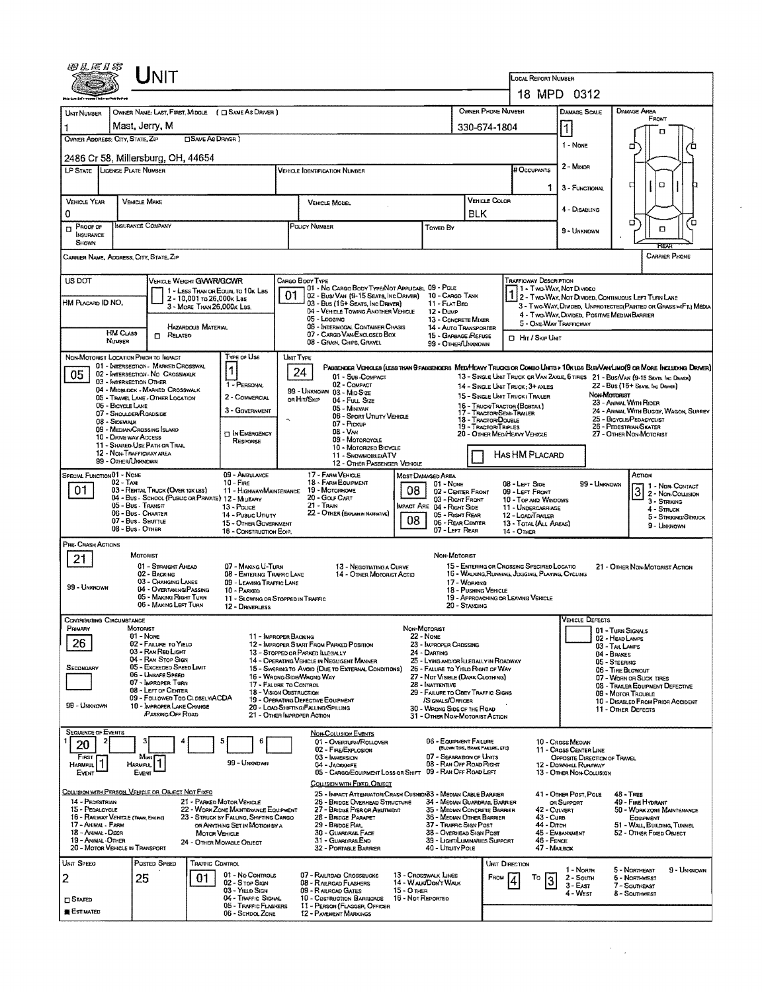|                                                                       |                                                                        | Unit                                                                               |                                                         |                                                                               |                                           |                                                                                                                                                                                |                                      |                                                               |                                                                                        |                                                                          |                                                                                                           |                                                                                                                                            |                                                         |                                                        |                                                                                             |  |  |
|-----------------------------------------------------------------------|------------------------------------------------------------------------|------------------------------------------------------------------------------------|---------------------------------------------------------|-------------------------------------------------------------------------------|-------------------------------------------|--------------------------------------------------------------------------------------------------------------------------------------------------------------------------------|--------------------------------------|---------------------------------------------------------------|----------------------------------------------------------------------------------------|--------------------------------------------------------------------------|-----------------------------------------------------------------------------------------------------------|--------------------------------------------------------------------------------------------------------------------------------------------|---------------------------------------------------------|--------------------------------------------------------|---------------------------------------------------------------------------------------------|--|--|
|                                                                       |                                                                        |                                                                                    |                                                         |                                                                               |                                           |                                                                                                                                                                                |                                      |                                                               |                                                                                        |                                                                          | LOCAL REPORT NUMBER                                                                                       | 18 MPD 0312                                                                                                                                |                                                         |                                                        |                                                                                             |  |  |
|                                                                       |                                                                        |                                                                                    |                                                         |                                                                               |                                           |                                                                                                                                                                                |                                      |                                                               | OWNER PHONE NUMBER                                                                     |                                                                          |                                                                                                           | <b>DAMAGE SCALE</b>                                                                                                                        |                                                         | Damage Area                                            |                                                                                             |  |  |
| <b>UNIT NUMBER</b>                                                    | OWNER NAME: LAST, FIRST, MIDDLE ( C SAME AS DRIVER )<br>Mast, Jerry, M |                                                                                    |                                                         |                                                                               |                                           |                                                                                                                                                                                |                                      |                                                               |                                                                                        |                                                                          |                                                                                                           |                                                                                                                                            |                                                         | FRONT                                                  |                                                                                             |  |  |
| OWNER ADDRESS: CITY, STATE, ZIP                                       |                                                                        |                                                                                    | <b>CISAME AS DRIVER</b> )                               |                                                                               |                                           |                                                                                                                                                                                |                                      |                                                               | 330-674-1804                                                                           |                                                                          |                                                                                                           | $\vert$                                                                                                                                    |                                                         |                                                        |                                                                                             |  |  |
| 2486 Cr 58, Millersburg, OH, 44654                                    |                                                                        |                                                                                    |                                                         |                                                                               |                                           |                                                                                                                                                                                |                                      | 1 - None                                                      |                                                                                        | α                                                                        |                                                                                                           |                                                                                                                                            |                                                         |                                                        |                                                                                             |  |  |
| LP STATE LICENSE PLATE NUMBER                                         |                                                                        |                                                                                    |                                                         |                                                                               |                                           | <b>VEHICLE IDENTIFICATION NUMBER</b>                                                                                                                                           |                                      |                                                               |                                                                                        |                                                                          | # Occupants                                                                                               | 2 - MINOR                                                                                                                                  |                                                         |                                                        |                                                                                             |  |  |
|                                                                       |                                                                        |                                                                                    |                                                         |                                                                               |                                           |                                                                                                                                                                                |                                      |                                                               |                                                                                        |                                                                          | 1                                                                                                         | 3 - FUNCTIONAL                                                                                                                             |                                                         | O<br>□                                                 |                                                                                             |  |  |
| <b>VEHICLE YEAR</b>                                                   |                                                                        | <b>VEHICLE MAKE</b>                                                                |                                                         |                                                                               |                                           | <b>VEHICLE MODEL</b>                                                                                                                                                           |                                      |                                                               |                                                                                        | <b>VEHICLE COLOR</b>                                                     |                                                                                                           | 4 - Disabling                                                                                                                              |                                                         |                                                        |                                                                                             |  |  |
| 0                                                                     |                                                                        | Insurance Company                                                                  |                                                         |                                                                               | POUCY NUMBER                              |                                                                                                                                                                                |                                      |                                                               | <b>BLK</b>                                                                             |                                                                          |                                                                                                           |                                                                                                                                            |                                                         | α.                                                     | ο                                                                                           |  |  |
| PROOF OF<br>O<br>INSURANCE<br>SHOWN                                   |                                                                        |                                                                                    |                                                         |                                                                               |                                           |                                                                                                                                                                                |                                      | Towen By                                                      |                                                                                        |                                                                          |                                                                                                           | 9 - UNKNOWN                                                                                                                                |                                                         | α                                                      |                                                                                             |  |  |
| CARRIER NAME, ADDRESS, CITY, STATE, ZIP                               |                                                                        |                                                                                    |                                                         |                                                                               |                                           |                                                                                                                                                                                |                                      |                                                               |                                                                                        |                                                                          |                                                                                                           |                                                                                                                                            |                                                         |                                                        | CARRIER PHONE                                                                               |  |  |
|                                                                       |                                                                        |                                                                                    |                                                         |                                                                               |                                           |                                                                                                                                                                                |                                      |                                                               |                                                                                        |                                                                          |                                                                                                           |                                                                                                                                            |                                                         |                                                        |                                                                                             |  |  |
| US DOT                                                                |                                                                        | VEHICLE WEIGHT GWWR/GCWR                                                           |                                                         | 1 - LESS THAN OR EQUAL TO 10K LBS                                             |                                           | CARGO BOOY TYPE<br>01 - No CARGO BODY TYPE/NOT APPLICABL 09 - POLE                                                                                                             |                                      |                                                               |                                                                                        |                                                                          | TRAFFICWAY DESCRIPTION                                                                                    | 11 - Two Way, Not Divideo                                                                                                                  |                                                         |                                                        |                                                                                             |  |  |
| HM PLACARD ID NO.                                                     |                                                                        |                                                                                    | 2 - 10,001 to 26,000k Las<br>3 - MORE THAN 26,000K LBS. |                                                                               | 01                                        | 02 - Bus/ Van (9-15 Seats, Inc Driver)<br>03 - Bus (16+ Seats, Inc Driver)<br>04 - VEHICLE TOWING ANOTHER VEHICLE                                                              |                                      | 10 - Cargo Tank<br>11 - FLAT BED<br>$12 - D$ uwe              |                                                                                        |                                                                          |                                                                                                           | 2 - Two-Way, Not Divided, Continuous Left Turn Lane<br>3 - Two-Way, DIVIDED, UNPROTECTED (PAINTED OR GRASS > <ft.) media<="" td=""></ft.)> |                                                         |                                                        |                                                                                             |  |  |
|                                                                       |                                                                        |                                                                                    | HAZARDOUS MATERIAL                                      |                                                                               |                                           | 05 - Logging<br>06 - INTERMODAL CONTAINER CHASIS                                                                                                                               |                                      | 13 - CONCRETE MIXER                                           |                                                                                        |                                                                          |                                                                                                           | 4 - Two-Way, Divideo, Positive MedianBarrier<br>5 - ONE-WAY TRAFFICWAY                                                                     |                                                         |                                                        |                                                                                             |  |  |
|                                                                       | <b>HM Cuss</b><br>NUMBER                                               | <b>D</b> RELATED                                                                   |                                                         |                                                                               |                                           | 07 - CARGO VAN/ENCLOSED BOX<br>08 - GRAIN, CHIPS, GRAVEL                                                                                                                       |                                      |                                                               | 14 - AUTO TRANSPORTER<br>15 - GARBAGE /REFUSE<br>HIT / SKIP UNIT<br>99 - OTHER/UNKNOWN |                                                                          |                                                                                                           |                                                                                                                                            |                                                         |                                                        |                                                                                             |  |  |
| NON-MOTORIST LOCATION PRICK TO IMPACT                                 |                                                                        |                                                                                    |                                                         | TYPE OF USE                                                                   | UNIT TYPE                                 |                                                                                                                                                                                |                                      |                                                               |                                                                                        |                                                                          |                                                                                                           |                                                                                                                                            |                                                         |                                                        |                                                                                             |  |  |
| 05                                                                    |                                                                        | 01 - INTERSECTION - MARKED CROSSWAL<br>02 - INTERSECTION - NO CROSSWALK            |                                                         |                                                                               |                                           | Passender Vencles (less than 9 passenders Med/Heavy Trucks or Combo Units > 10k les Bus/Van/Lino(9 or More Including Driver)<br>24<br>01 - SUB-COMPACT                         |                                      |                                                               |                                                                                        |                                                                          | 13 - SINGLE UNIT TRUCK OR VAN ZAXLE, 6 TIRES 21 - BUS/VAN (9-15 SEATS, INC DRIVER)                        |                                                                                                                                            |                                                         |                                                        |                                                                                             |  |  |
|                                                                       | 03 - INTERSECTION OTHER                                                | 04 - MIDBLOCK - MARKED CROSSWALK                                                   |                                                         | 1 - PERSONAL                                                                  |                                           | 02 - COMPACT<br>99 - UNKNOWN 03 - MID SIZE                                                                                                                                     |                                      |                                                               |                                                                                        |                                                                          | 14 - SINGLE UNIT TRUCK: 3+ AXLES                                                                          |                                                                                                                                            |                                                         | 22 - Bus (16+ Seats, Inc Driver)                       |                                                                                             |  |  |
|                                                                       | 06 - BIOYCLE LANE                                                      | 05 - TRAVEL LANE - OTHER LOCATION                                                  |                                                         | 2 - COMMERCIAL                                                                |                                           | OR HIT/SKIP<br>04 - FULL SIZE<br>05 - MINIVAN                                                                                                                                  |                                      |                                                               |                                                                                        |                                                                          | Non-Motorust<br>15 - SINGLE UNIT TRUCK/ TRAILER<br>23 - ANIMAL WITH RIDER<br>15 - TRUCK/TRACTOR (BOBTAIL) |                                                                                                                                            |                                                         |                                                        |                                                                                             |  |  |
|                                                                       | 07 - SHOULDER/ROADSIDE<br>08 - SIDEWALK                                |                                                                                    |                                                         | 3 - GOVERNMENT                                                                | 06 - SPORT UTILITY VEHICLE<br>07 - Pickup |                                                                                                                                                                                |                                      |                                                               |                                                                                        | 17 - TRACTOR/SEMI-TRAILER<br>18 - Tractor Double<br>19 - TRACTOR/TRIPLES |                                                                                                           |                                                                                                                                            |                                                         |                                                        | 24 - ANIMAL WITH BUGGY, WAGON, SURREY<br>25 - BICYCLE/PEDACYCLIST<br>26 - PEDESTRIAN/SKATER |  |  |
|                                                                       | 10 - DRIVE WAY ACCESS                                                  | 09 - MEDIAN/CROSSING SLAND                                                         |                                                         | <b>IN EMERGENCY</b><br>RESPONSE                                               | $08 - V_{AN}$<br>09 - MOTORCYCLE          |                                                                                                                                                                                |                                      |                                                               |                                                                                        |                                                                          | 20 - OTHER MEDIHEAVY VEHICLE                                                                              |                                                                                                                                            | 27 - OTHER NON-MOTORIST                                 |                                                        |                                                                                             |  |  |
|                                                                       | 12 - NON-TRAFFICWAY AREA                                               | 11 - SHARED-USE PATH OR TRAIL                                                      |                                                         |                                                                               |                                           | 10 - MOTORIZED BICYCLE<br>11 - SNOWMOBILE/ATV                                                                                                                                  |                                      |                                                               |                                                                                        |                                                                          | HAS HM PLACARD                                                                                            |                                                                                                                                            |                                                         |                                                        |                                                                                             |  |  |
| SPECIAL FUNCTION 01 - NONE                                            | 99 - OTHER/UNKNOWN                                                     |                                                                                    |                                                         | 09 - AMBULANCE                                                                |                                           | 12 - OTHER PASSENGER VEHICLE<br>17 - FARM VEHICLE                                                                                                                              |                                      |                                                               |                                                                                        |                                                                          |                                                                                                           |                                                                                                                                            |                                                         | Астюм                                                  |                                                                                             |  |  |
| 01                                                                    | $02 - Tax$                                                             | 03 - RENTAL TRUCK (OVER 10K LBS)                                                   |                                                         | $10 -$ Fine                                                                   |                                           | 18 - FARM EQUIPMENT<br>11 - Highway/Maintenance 19 - Motorhome                                                                                                                 | 08                                   | Most Damaged Area<br>01 - NONE                                |                                                                                        |                                                                          | 08 - Lert Sine<br>09 - LEFT FRONT                                                                         | 99 - Unknown                                                                                                                               |                                                         |                                                        | 3 - Non-Contact                                                                             |  |  |
|                                                                       | 05 - Bus - Transit                                                     | 04 - Bus - SCHOOL (PUBLIC OR PRIVATE) 12 - MILITARY                                |                                                         | 13 - Pouce                                                                    |                                           | 20 - Gouf Cart<br>21 - Train<br>MPACT ARE 04 - RIGHT SIDE                                                                                                                      |                                      |                                                               | 02 - CENTER FRONT<br>03 - RIGHT FRONT<br>10 - TOP AND WINDOWS<br>11 - UNDERCARRIAGE    |                                                                          |                                                                                                           |                                                                                                                                            |                                                         |                                                        | $3 -$ Striking                                                                              |  |  |
|                                                                       | 06 - Bus - Charter<br>07 - Bus - Shuttue                               |                                                                                    |                                                         | 14 - Pusuc UTIUTY<br>15 - OTHER GOVERNMENT                                    | 22 - OTHER (EXPLAN IN NASPATIVE)<br>08    |                                                                                                                                                                                |                                      |                                                               | 05 - Right Rear<br>12 - LOAD/TRAILER<br>06 - REAR CEMTER<br>13 - TOTAL (ALL AREAS)     |                                                                          |                                                                                                           |                                                                                                                                            |                                                         |                                                        | 4 - Struck<br>5 - STRIKINGISTRUCK                                                           |  |  |
|                                                                       | 08 - Bus - OTHER                                                       |                                                                                    |                                                         | 16 - CONSTRUCTION EOIP.                                                       |                                           |                                                                                                                                                                                |                                      | 07-LEFT REAR                                                  |                                                                                        |                                                                          | <b>14 - OTHER</b>                                                                                         |                                                                                                                                            |                                                         |                                                        | 9 - Unknown                                                                                 |  |  |
| PRE- CRASH ACTIONS                                                    |                                                                        | <b>MOTORIST</b>                                                                    |                                                         |                                                                               |                                           |                                                                                                                                                                                |                                      | NON-MOTORIST                                                  |                                                                                        |                                                                          |                                                                                                           |                                                                                                                                            |                                                         |                                                        |                                                                                             |  |  |
| 21                                                                    |                                                                        | 01 - Straight Amead<br>02 - BACKING                                                |                                                         | 07 - MAKING U-TURN<br>08 - ENTERING TRAFFIC LANE                              |                                           | 13 - NEGOTIATING A CURVE<br>14 - OTHER MOTORIST ACTIO                                                                                                                          |                                      |                                                               |                                                                                        |                                                                          | 15 - ENTERING OR CROSSING SPECIFIED LOCATIO                                                               |                                                                                                                                            |                                                         | 21 - OTHER NON-MOTORIST ACTION                         |                                                                                             |  |  |
| 99 - Unknown                                                          |                                                                        | 03 - Changing Lanes<br>04 - Overtaking/Passing                                     |                                                         | 09 - LEAVING TRAFFIC LANE<br>10 - PARKED                                      |                                           |                                                                                                                                                                                | 17 - WORKING<br>18 - PUSHING VEHICLE |                                                               |                                                                                        | 16 - WALKING, RUNNING, JOGGING, PLAYING, CYCLING                         |                                                                                                           |                                                                                                                                            |                                                         |                                                        |                                                                                             |  |  |
|                                                                       |                                                                        | 05 - MAKING RIGHT TURN<br>06 - MAKING LEFT TURN                                    |                                                         | 11 - SLOWING OR STOPPED IN TRAFFIC<br>12 - DRIVERLESS                         |                                           |                                                                                                                                                                                |                                      |                                                               | 20 - STANDING                                                                          |                                                                          | 19 - APPROACHING OR LEAVING VEHICLE                                                                       |                                                                                                                                            |                                                         |                                                        |                                                                                             |  |  |
| <b>ONTRIBUTING CIRCUMSTANCE</b>                                       |                                                                        |                                                                                    |                                                         |                                                                               |                                           |                                                                                                                                                                                |                                      |                                                               |                                                                                        |                                                                          |                                                                                                           | <b>VEHICLE DEFECTS</b>                                                                                                                     |                                                         |                                                        |                                                                                             |  |  |
| PRIMARY                                                               | MOTORIST                                                               | $01 - None$                                                                        |                                                         | 11 - IMPROPER BACKING                                                         |                                           |                                                                                                                                                                                | NON-MOTORIST                         | 22 - None                                                     |                                                                                        |                                                                          |                                                                                                           |                                                                                                                                            | 01 - TURN SIGNALS<br>02 - HEAD LAMPS                    |                                                        |                                                                                             |  |  |
| 26                                                                    |                                                                        | 02 - FAILURE TO YIELD<br>03 - RAN RED LIGHT                                        |                                                         |                                                                               |                                           | 12 - IMPROPER START FROM PARKED POSITION<br>13 - STOPPED OR PARKED ILLEGALLY                                                                                                   |                                      | 23 - Improper Crossing<br>24 - DARTING                        |                                                                                        |                                                                          |                                                                                                           |                                                                                                                                            | 03 - TAIL LAMPS<br>04 - BRAKES                          |                                                        |                                                                                             |  |  |
| SECONDARY                                                             |                                                                        | 04 - RAN STOP SIGN<br>05 - Exceeped Speed Limit                                    |                                                         |                                                                               |                                           | 14 - Operating Vehicle in Negligent Manner<br>25 - LYING AND/OR LLEGALLY IN ROADWAY<br>15 - Swering to Avoid (Due to External Conditions)<br>26 - FALURE TO YIELD RIGHT OF WAY |                                      |                                                               |                                                                                        |                                                                          |                                                                                                           | 05 - STEERING<br>06 - TIRE BLOWOUT                                                                                                         |                                                         |                                                        |                                                                                             |  |  |
|                                                                       |                                                                        | 06 - UNSAFE SPEED<br>07 - IMPROPER TURN                                            |                                                         | 17 - FALURE TO CONTROL                                                        |                                           | 16 - WRONG SIDE/WRONG WAY<br>27 - NOT VISIBLE (DARK CLOTHING)<br>28 - INATTENTIVE                                                                                              |                                      |                                                               |                                                                                        |                                                                          |                                                                                                           | 07 - WORN OR SLICK TIRES<br>08 - TRAILER EQUIPMENT DEFECTIVE                                                                               |                                                         |                                                        |                                                                                             |  |  |
| 99 - UNKNOWN                                                          |                                                                        | 08 - LEFT OF CENTER<br>09 - FOLLOWED TOO CLOSELY/ACDA<br>10 - IMPROPER LANE CHANGE |                                                         |                                                                               |                                           | <b>18 - VISION OBSTRUCTION</b><br>29 - FAILURE TO OBEY TRAFFIC SIGNS<br>19 - OPERATING DEFECTIVE EQUIPMENT<br>/SIGNALS/OFFICER                                                 |                                      |                                                               |                                                                                        |                                                                          |                                                                                                           |                                                                                                                                            | 09 - MOTOR TROUBLE<br>10 - DISABLED FROM PRIOR ACCIDENT |                                                        |                                                                                             |  |  |
|                                                                       |                                                                        | PASSING/OFF ROAD                                                                   |                                                         |                                                                               |                                           | 20 - LOAD SHIFTING/FALLING/SPILLING<br>21 - OTHER IMPROPER ACTION                                                                                                              |                                      | 30 - WRONG SIDE OF THE ROAD<br>31 - OTHER NON-MOTORIST ACTION |                                                                                        |                                                                          |                                                                                                           |                                                                                                                                            | 11 - OTHER DEFECTS                                      |                                                        |                                                                                             |  |  |
| <b>SEQUENCE OF EVENTS</b>                                             |                                                                        |                                                                                    |                                                         |                                                                               |                                           | <b>NON-COLLISION EVENTS</b>                                                                                                                                                    |                                      |                                                               |                                                                                        |                                                                          |                                                                                                           |                                                                                                                                            |                                                         |                                                        |                                                                                             |  |  |
| 20                                                                    |                                                                        |                                                                                    |                                                         |                                                                               |                                           | 01 - Overturn/Rollover<br>02 - FIRE/EXPLOSION                                                                                                                                  |                                      | 06 - EQUIPMENT FAILURE                                        | (BLOWN TIRE, BRAKE FAILURE, ETC)                                                       |                                                                          |                                                                                                           | 10 - CROSS MEOWN<br>11 - Cross Center Line                                                                                                 |                                                         |                                                        |                                                                                             |  |  |
| FIRST<br>HARMFUL <sup>1</sup>                                         |                                                                        | Mast<br>HARMFUL <sup>1</sup>                                                       |                                                         | 99 - UNKNDWN                                                                  |                                           | 03 - IMMERSION<br>04 - Jackonife<br>05 - CARGO/EQUIPMENT LOSS OR SHIFT 09 - RAN OFF ROAD LEFT                                                                                  |                                      | 07 - SEPARATION OF UNITS<br>08 - RAN OFF ROAD RIGHT           |                                                                                        |                                                                          |                                                                                                           | OPPOSITE DIRECTION OF TRAVEL<br>12 - DOWNHILL RUNAWAY<br>13 - OTHER NON-COLLISION                                                          |                                                         |                                                        |                                                                                             |  |  |
| EVENT                                                                 |                                                                        | EVENT                                                                              |                                                         |                                                                               |                                           | COLLISION WITH FIXED OBJECT                                                                                                                                                    |                                      |                                                               |                                                                                        |                                                                          |                                                                                                           |                                                                                                                                            |                                                         |                                                        |                                                                                             |  |  |
| COLLISION WITH PERSON, VEHICLE OR OBJECT NOT FIXED<br>14 - PEDESTRIAN |                                                                        |                                                                                    |                                                         | 21 - PARKED MOTOR VEHICLE                                                     |                                           | 25 - IMPACT ATTENUATOR/CRASH CUSHION33 - MEDIAN CABLE BARRIER<br>26 - BRIDGE OVERHEAD STRUCTURE                                                                                |                                      | 34 - Median Guardral Barrier                                  |                                                                                        |                                                                          |                                                                                                           | 41 - OTHER POST, POLE<br>OR SUPPORT                                                                                                        | $48 - TREE$                                             | 49 - FIRE HYDRANT                                      |                                                                                             |  |  |
| 15 - PEDALCYCLE<br>16 - RAILWAY VEHICLE (TRAIN, ENGINE)               |                                                                        |                                                                                    |                                                         | 22 - WORK ZONE MAINTENANCE EQUIPMENT<br>23 - STRUCK BY FALUNG, SHIFTING CARGO |                                           | 27 - BRIDGE PIER OR ABUTMENT<br>28 - Brudge Parapet                                                                                                                            |                                      | 35 - MEDIAN CONCRETE BARRIER<br>36 - MEDIAN OTHER BARRIER     |                                                                                        |                                                                          | 42 - CULVERT<br>43 - Cura                                                                                 |                                                                                                                                            |                                                         | 50 - WORKZONE MAINTENANCE<br>EQUIPMENT                 |                                                                                             |  |  |
| 17 - ANIMAL - FARM<br>18 - Animal - Deer                              |                                                                        |                                                                                    | <b>MOTOR VEHICLE</b>                                    | OR ANYTHING SET IN MOTION BY A                                                |                                           | 29 - BRIDGE RAIL<br>30 - GUARDRAIL FACE                                                                                                                                        |                                      | 37 - Traffic Sign Post<br>38 - Overhead Sign Post             |                                                                                        |                                                                          | 44 - Опон                                                                                                 | 45 - EMBANKMENT                                                                                                                            |                                                         | 51 - WALL, BUILDING, TUNNEL<br>52 - OTHER FIXED OBJECT |                                                                                             |  |  |
| 19 - ANIMAL OTHER<br>20 - MOTOR VEHICLE IN TRANSPORT                  |                                                                        |                                                                                    |                                                         | 24 - OTHER MOVABLE OBJECT                                                     |                                           | 31 - GUARDRASLEND<br>32 - PORTABLE BARRIER                                                                                                                                     |                                      | 39 - LIGHT/LUMINARIES SUPPORT<br>40 - UTEITY POLE             |                                                                                        |                                                                          | 46 - FENCE<br>47 - MAREOX                                                                                 |                                                                                                                                            |                                                         |                                                        |                                                                                             |  |  |
| UNIT SPEED                                                            |                                                                        | Posted Speed                                                                       | TRAFFIC CONTROL                                         |                                                                               |                                           |                                                                                                                                                                                |                                      |                                                               |                                                                                        | <b>UNIT DIRECTION</b>                                                    |                                                                                                           | 1 - North                                                                                                                                  |                                                         | 5 - NORTHEAST                                          | 9 - Unknown                                                                                 |  |  |
| 2                                                                     |                                                                        | 25                                                                                 | 01                                                      | 01 - No CONTROLS<br>02 - S TOP SIGN                                           |                                           | 07 - RAILROAD CROSSBUCKS<br>08 - RAILROAD FLASHERS                                                                                                                             |                                      | 13 - Crosswalk LINES<br>14 - WAUK/DON'T WALK                  |                                                                                        | FROM                                                                     | То<br>3                                                                                                   | 2 - South<br>3 - East                                                                                                                      |                                                         | <b>6 - NORTHWEST</b><br>7 - Southeast                  |                                                                                             |  |  |
| $\square$ Staten                                                      |                                                                        |                                                                                    |                                                         | 03 - YIELD SIGN<br>04 - TRAFFIC SIGNAL                                        |                                           | 09 - RAILROAD GATES<br>10 - COSTRUCTION BARRICADE                                                                                                                              | 15 - О тнеп<br>16 - Not Reported     |                                                               |                                                                                        |                                                                          |                                                                                                           | 4 - West                                                                                                                                   |                                                         | 8 - Southwest                                          |                                                                                             |  |  |
| ESTIMATED                                                             |                                                                        |                                                                                    |                                                         | 05 - TRAFFIC FLASHERS<br>06 - SCHDOL ZONE                                     |                                           | 11 - PERSON (FLAGGER, OFFICER<br>12 - PAVEMENT MARKINGS                                                                                                                        |                                      |                                                               |                                                                                        |                                                                          |                                                                                                           |                                                                                                                                            |                                                         |                                                        |                                                                                             |  |  |

 $\mathcal{F}_{\mathcal{A}}$  .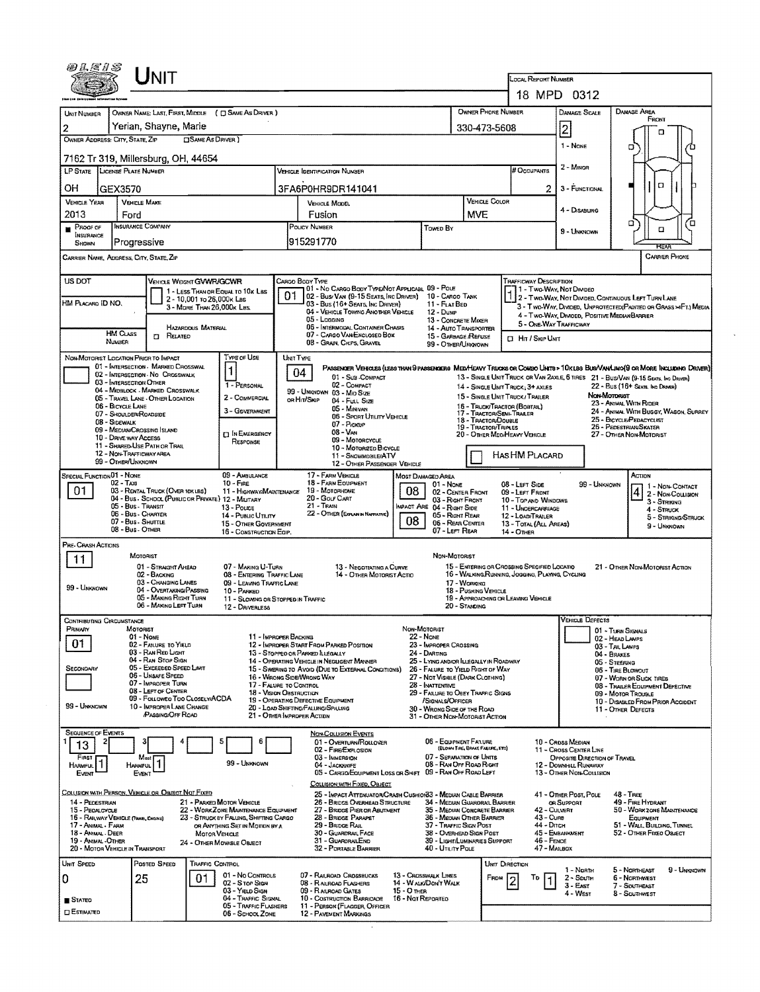|                                                                              | <b>NIT</b>                                                                              |                                                                          |                                                                                                                                    |                                                                            |                                                                 | <b>LOCAL REPORT NUMBER</b>                                                         |                                        |                                                                   |  |  |  |
|------------------------------------------------------------------------------|-----------------------------------------------------------------------------------------|--------------------------------------------------------------------------|------------------------------------------------------------------------------------------------------------------------------------|----------------------------------------------------------------------------|-----------------------------------------------------------------|------------------------------------------------------------------------------------|----------------------------------------|-------------------------------------------------------------------|--|--|--|
|                                                                              |                                                                                         |                                                                          |                                                                                                                                    |                                                                            |                                                                 | 18 MPD 0312                                                                        |                                        |                                                                   |  |  |  |
| UNIT NUMBER                                                                  | OWNER NAME: LAST, FIRST, MIDDLE                                                         | ( C) SAME AS DRIVER )                                                    |                                                                                                                                    |                                                                            | OWNER PHONE NUMBER                                              | Damage Scale                                                                       |                                        | DAMAGE AREA<br>FRONT                                              |  |  |  |
| $\overline{2}$                                                               | Yerian, Shavne, Marie                                                                   |                                                                          |                                                                                                                                    |                                                                            | 330-473-5608                                                    | 2                                                                                  |                                        |                                                                   |  |  |  |
| OWNER ADDRESS: CITY, STATE, ZIP                                              | <b>OSAME AS DRIVER</b> )                                                                |                                                                          |                                                                                                                                    |                                                                            |                                                                 | 1 - None                                                                           |                                        | α<br>Ή                                                            |  |  |  |
|                                                                              | 7162 Tr 319, Millersburg, OH, 44654                                                     |                                                                          |                                                                                                                                    |                                                                            |                                                                 | 2 - Minor                                                                          |                                        |                                                                   |  |  |  |
|                                                                              | LP STATE LICENSE PLATE NUMBER                                                           |                                                                          | <b>VEHICLE IDENTIFICATION NUMBER</b>                                                                                               |                                                                            | # Occupants                                                     |                                                                                    |                                        |                                                                   |  |  |  |
| OН                                                                           | GEX3570                                                                                 |                                                                          | 3FA6P0HR9DR141041                                                                                                                  |                                                                            |                                                                 | 3 - FUNCTIONAL<br>$\mathbf{2}$                                                     |                                        | O                                                                 |  |  |  |
| <b>VEHICLE YEAR</b><br>2013                                                  | <b>VEHICLE MAKE</b><br>Ford                                                             |                                                                          | <b>VEHICLE MODEL</b><br>Fusion                                                                                                     |                                                                            | <b>VEHICLE COLOR</b><br><b>MVE</b>                              | 4 - Disabling                                                                      |                                        |                                                                   |  |  |  |
| PROOF OF                                                                     | <b>INSURANCE COMPANY</b>                                                                |                                                                          | POLICY NUMBER                                                                                                                      | Toweo By                                                                   |                                                                 | 9 - UNKNOWN                                                                        |                                        | הם<br>Έ<br>$\Box$                                                 |  |  |  |
| <b>INSURANCE</b><br>SHOWN                                                    | Progressive                                                                             |                                                                          | 915291770                                                                                                                          |                                                                            |                                                                 |                                                                                    |                                        | RFA                                                               |  |  |  |
|                                                                              | CARRIER NAME, ADDRESS, CITY, STATE, ZIP                                                 |                                                                          |                                                                                                                                    |                                                                            |                                                                 |                                                                                    |                                        | <b>CARRIER PHONE</b>                                              |  |  |  |
|                                                                              |                                                                                         |                                                                          |                                                                                                                                    |                                                                            |                                                                 |                                                                                    |                                        |                                                                   |  |  |  |
| US DOT                                                                       | <b>VEHICLE WEIGHT GVWR/GCWR</b><br>1 - LESS THAN OR EQUAL TO 10x LBS                    |                                                                          | CARGO BODY TYPE<br>01 - No CARGO BODY TYPE/NOT APPLICABL 09 - POLE<br>01<br>[02 - Bus VAN (9-15 SEATS, INC DRIVER) 10 - CARGO TANK |                                                                            |                                                                 | <b><i>FRAFFICWAY DESCRIPTION</i></b><br>11 - Two-Way, Not Divideo                  |                                        |                                                                   |  |  |  |
| 2 - 10,001 to 26,000k Las<br>HM PLACARD ID NO.<br>3 - MORE THAN 26,000K LBS. |                                                                                         |                                                                          | 03 - Bus (16+ SEATS, INC DRIVER)<br>04 - VEHICLE TOWING ANOTHER VEHICLE                                                            | 11 - FLAT BED<br>$12 - Dune$                                               |                                                                 | 1 2 - TWO-WAY, NOT DIVIDED, CONTINUOUS LEFT TURN LANE                              |                                        | 3 - Two-Way, Divided, Unprotected (Painted or Grass >>FT.) Media  |  |  |  |
|                                                                              | HAZARDOUS MATERIAL                                                                      |                                                                          | 05 - Longing<br>06 - INTERMODAL CONTAINER CHASIS                                                                                   | 13 - CONCRETE MIXER<br>14 - AUTO TRANSPORTER                               |                                                                 | 4 - Two-Way, Diviged, Positive Median Barrier<br>5 - ONE-WAY TRAFFICWAY            |                                        |                                                                   |  |  |  |
|                                                                              | <b>HM CLASS</b><br><b>ET RELATED</b><br>NUMBER                                          |                                                                          | 07 - CARGO VAN ENCLOSED BOX<br>08 - GRAIN, CHIPS, GRAVEL                                                                           | 15 - GARBAGE REFUSE<br>99 - OTHER/LINGNOWN                                 |                                                                 | <b>CI Hr / Skip Unit</b>                                                           |                                        |                                                                   |  |  |  |
|                                                                              | NON-MOTORIST LOCATION PRIOR TO IMPACT                                                   | Type or Use                                                              | UNIT TYPE                                                                                                                          |                                                                            |                                                                 |                                                                                    |                                        |                                                                   |  |  |  |
|                                                                              | 01 - INTERSECTION MARKED CROSSWAL<br>02 - INTERSECTION - NO CROSSWALK                   | 1                                                                        | Passenger Venicles (less than 9 passengers Mediteary Trucks or Condo Units > 10x lbs Bus/VanLino(9 or More Including Driver)<br>04 |                                                                            |                                                                 |                                                                                    |                                        |                                                                   |  |  |  |
|                                                                              | 03 - INTERSECTION OTHER<br>04 - MIDBLOCK - MARKED CROSSWALK                             | 1 - PERSONAL                                                             | 01 - Sub-COMPACT<br>02 - COMPACT<br>99 - UNKNOWN 03 - Mid SIZE                                                                     |                                                                            | 14 - SINGLE UNIT TRUCK: 3+ AXLES                                | 13 - SINGLE UNIT TRUCK OR VAN 2AXLE, 6 TIRES 21 - BUS/VAN (9-15 SEATS, INC DRIVER) |                                        | 22 - Bus (16+ Seats, Ing Driver)                                  |  |  |  |
|                                                                              | 05 - Travel Lane - Other Location<br>06 - BICYCLE LANE                                  | 2 - COMMERCIAL                                                           | or Hn/Skip<br>04 - Full Size                                                                                                       |                                                                            | 15 - SINGLE UNIT TRUCK, TRAILER<br>16 - TRUCK/TRACTOR (BOBTAIL) |                                                                                    | Non-Motorist<br>23 - ANIMAL WITH RIDER |                                                                   |  |  |  |
|                                                                              | 07 - Shoulder/Roadside<br>08 - SIDEWALK                                                 | 3 - GOVERNMENT                                                           | 05 - Manyan<br>06 - Sport UTILITY VEHICLE                                                                                          |                                                                            | 17 - TRACTOR/SEMI-TRAILER<br>18 - TRACTOR/DOUBLE                |                                                                                    |                                        | 24 - ANIMAL WITH BUGGY, WAGON, SURREY<br>25 - BICYCLE/PEDACYCLIST |  |  |  |
|                                                                              | 09 - MEDIAN/CROSSING ISLAND<br>10 - DRIVE WAY ACCESS                                    | <b>LI IN EMERGENCY</b>                                                   | 07 - Pickup<br>$08 - \mathrm{Var}$<br>09 - MOTORCYCLE                                                                              |                                                                            | 19 - TRACTOR/TRIPLES<br>20 - OTHER MEO/HEAVY VEHICLE            |                                                                                    |                                        | 26 - PEDESTRIAN/SKATER<br>27 - OTHER NON-MOTORIST                 |  |  |  |
|                                                                              | 11 - Shared-Use Path or Trail<br>12 - NON-TRAFFICWAY AREA                               | RESPONSE                                                                 | 10 - Motorizeo Bicycle                                                                                                             |                                                                            |                                                                 |                                                                                    |                                        |                                                                   |  |  |  |
|                                                                              | 99 - OTHER/UNKNOWN                                                                      |                                                                          | 11 - SNOWMOBILE/ATV<br>12 - OTHER PASSENGER VEHICLE                                                                                |                                                                            |                                                                 | <b>HASHM PLACARD</b>                                                               |                                        |                                                                   |  |  |  |
| <b>SPECIAL FUNCTION 01 - NONE</b>                                            | $02 - Tax$                                                                              | 09 - AMBULANCE<br>$10 -$ Fire                                            | 17 - FARM VEHICLE<br>18 - FARM EQUIPMENT                                                                                           | MOST DAMAGED AREA<br>01 - NONE                                             |                                                                 | 08 - LEFT SIDE                                                                     | 99 - UNKNOWN                           | ACTION<br>1 1 - Non-Contact                                       |  |  |  |
| 01                                                                           | 03 - RENTAL TRUCK (OVER 10K LBS)<br>04 - Bus - School (Public or Private) 12 - Military | 11 - HIGHWAY/MAINTENANCE                                                 | 19 - MOTORHOME<br>20 - GOUF CART                                                                                                   | 08<br>02 - CENTER FRONT<br>03 - Right Front                                |                                                                 | 09 - LEFT FRONT<br>10 - TOP AND WINDOWS                                            |                                        | 2 - NON-COLLISION<br>3 - Striking                                 |  |  |  |
|                                                                              | 05 - Bus - Transtt<br>06 - Bus - Charter                                                | 13 - Pouce<br>14 - PUBLIC UTILITY                                        | $21 -$ Train<br>22 - OTHER (EXPLAN IN NAPPARTNE)                                                                                   | MPACT ARE 04 - RIGHT SIDE<br>05 - Right REAR                               |                                                                 | 11 - UNDERCARRIAGE<br>12 - LOAD/TRAILER                                            |                                        | 4 - Struck<br>5 - STRIKING/STRUCK                                 |  |  |  |
|                                                                              | 07 - Bus - SHUTTLE<br>08 - Bus - OTHER                                                  | 15 - OTHER GOVERNMENT<br>16 - CONSTRUCTION EQIP.                         |                                                                                                                                    | 08<br>06 - REAR CENTER<br>07 - LEFT REAR                                   | 14 - OTHER                                                      | 13 - TOTAL (ALL AREAS)                                                             |                                        | 9 - Unknown                                                       |  |  |  |
| PRE-CRASH ACTIONS                                                            |                                                                                         |                                                                          |                                                                                                                                    |                                                                            |                                                                 |                                                                                    |                                        |                                                                   |  |  |  |
| 11                                                                           | MOTORIST<br>01 - STRAIGHT AHEAD                                                         | 07 - MAKING U-TURN                                                       | 13 - NEGOTIATING A CURVE                                                                                                           | NON-MOTORIST                                                               |                                                                 | 15 - ENTERING OR CROSSING SPECIFIED LOCATIO                                        |                                        | 21 - OTHER NON-MOTORIST ACTION                                    |  |  |  |
|                                                                              | 02 - BACKING                                                                            | 08 - ENTERING TRAFFIC LANE<br>09 - LEAVING TRAFFIC LANE                  | 14 - OTHER MOTORIST ACTIO                                                                                                          |                                                                            |                                                                 | 16 - WALKING, RUNNING, JOGGING, PLAYING, CYCLING                                   |                                        |                                                                   |  |  |  |
|                                                                              |                                                                                         |                                                                          |                                                                                                                                    | 17 - Working<br>18 - PUSHING VEHICLE                                       |                                                                 |                                                                                    |                                        |                                                                   |  |  |  |
| 99 - UNKNOWN                                                                 | 03 - CHANGING LANES<br>04 - OVERTAKING/PASSING                                          | 10 - PARKED                                                              |                                                                                                                                    |                                                                            |                                                                 |                                                                                    |                                        |                                                                   |  |  |  |
|                                                                              | 05 - MAKING RIGHT TURN<br>06 - MAKING LEFT TURN                                         | 11 - SLOWING OR STOPPED IN TRAFFIC<br>12 - DRIVERLESS                    |                                                                                                                                    | 20 - STANDING                                                              | 19 - APPROACHING OR LEAVING VEHICLE                             |                                                                                    |                                        |                                                                   |  |  |  |
| CONTRIBUTING CIRCUMSTANCE                                                    |                                                                                         |                                                                          |                                                                                                                                    |                                                                            |                                                                 | VEHICLE DEFECTS                                                                    |                                        |                                                                   |  |  |  |
| PRIMARY                                                                      | MOTORIST<br>$01 - None$                                                                 |                                                                          | 11 - IMPROPER BACKING                                                                                                              | Non-Motorust<br>$22 - None$                                                |                                                                 |                                                                                    | 01 - TURN SIGNALS<br>02 - HEAD LAMPS   |                                                                   |  |  |  |
| 01                                                                           | 02 - FAILURE TO YIELD<br>03 - RAN RED LIGHT                                             |                                                                          | 12 - IMPROPER START FROM PARKED POSITION<br>13 - Stopped or Parked LLEGALLY                                                        | 23 - IMPROPER CROSSING<br>24 - DARTING                                     |                                                                 |                                                                                    | 03 - TAIL LAMPS<br>04 - BRAKES         |                                                                   |  |  |  |
| SECONDARY                                                                    | 04 - RAN STOP SIGN<br>05 - Exceeped Speed Limit                                         |                                                                          | 14 - Operating Vehicle in Negligent Manner<br>15 - Swering to Avoid (Due to External Conditions)                                   | 25 - LYING ANDJOR LLEGALLY IN ROADWAY<br>26 - FALURE TO YIELD RIGHT OF WAY |                                                                 |                                                                                    | 05 - STEERING<br>06 - TIRE BLOWOUT     |                                                                   |  |  |  |
|                                                                              | 06 - UNSAFE SPEED<br>07 - IMPROPER TURN                                                 |                                                                          | 16 - WRONG SIDE/WRONG WAY<br>17 - FALURE TO CONTROL                                                                                | 27 - NOT VISIBLE (DARK CLOTHING)<br>28 - INATTENTIVE                       |                                                                 |                                                                                    |                                        | 07 - WORN OR SUCK TIRES<br>08 - TRAILER EQUIPMENT DEFECTIVE       |  |  |  |
|                                                                              | 08 - LEFT OF CENTER<br>09 - Followeo Too Closelv/ACDA                                   |                                                                          | 18 - Vision Osstruction<br>19 - OPERATING DEFECTIVE EQUIPMENT                                                                      | 29 - FAILURE TO OBEY TRAFFIC SIGNS<br>/SIGNALS/OFFICER                     |                                                                 |                                                                                    | 09 - MOTOR TROUBLE                     | 10 - DISABLED FROM PRIOR ACCIDENT                                 |  |  |  |
| 99 - UNKNOWN                                                                 | 10 - IMPROPER LANE CHANGE<br>PASSING/OFF ROAD                                           |                                                                          | 20 - LOAD SHIFTING/FALLING/SPILLING<br>21 - OTHER INPROPER ACTION                                                                  | 30 - WRONG SIDE OF THE ROAD<br>31 - OTHER NON-MOTORIST ACTION              |                                                                 |                                                                                    | 11 - OTHER DEFECTS                     |                                                                   |  |  |  |
| <b>SEQUENCE OF EVENTS</b>                                                    |                                                                                         |                                                                          | Non-Collusion Events                                                                                                               |                                                                            |                                                                 |                                                                                    |                                        |                                                                   |  |  |  |
| 13                                                                           |                                                                                         | 6                                                                        | 01 - Overturn/Rollover<br>02 - FIRE/EXPLOSION                                                                                      | 06 - EQUIPMENT FAILURE                                                     | (BLOWN TIRE, BRAKE FAILURE, ETC)                                | 10 - Cross Median<br>11 - Cross Center Line                                        |                                        |                                                                   |  |  |  |
| FIRST<br>1<br>HARMFUL                                                        | Most<br>HARMFUL <sup>1</sup>                                                            | 99 - UNKNOWN                                                             | 03 - IMMERSION<br>04 - Jackknife                                                                                                   | 07 - SEPARATION OF UNITS<br>08 - RAN OFF ROAD RIGHT                        |                                                                 | 12 - DOWNHILL RUNAWAY                                                              | OPPOSITE DIRECTION OF TRAVEL           |                                                                   |  |  |  |
| Event                                                                        | EVENT                                                                                   |                                                                          | 05 - CARGO/EQUIPMENT LOSS OR SHIFT 09 - RAN OFF ROAD LEFT                                                                          |                                                                            |                                                                 | 13 - OTHER NON-COLLISION                                                           |                                        |                                                                   |  |  |  |
|                                                                              | COLUSION WITH PERSON, VEHICLE OR OBJECT NOT FIXED                                       |                                                                          | COLLISION WITH FIXED, OBJECT<br>25 - IMPACT ATTENUATOR/CRASH CUSHION33 - MEDIAN CABLE BARRIER                                      |                                                                            |                                                                 | 41 - OTHER POST, POLE                                                              |                                        | $48 - T$ REE                                                      |  |  |  |
| 14 - PEDESTRIAN<br>15 - PEOALCYCLE                                           |                                                                                         | 21 - PARKED MOTOR VEHICLE<br>22 - WORKZONE MAINTENANCE EQUIPMENT         | 26 - BRIDGE OVERHEAD STRUCTURE<br>27 - BRIDGE PIER OR ABUTMENT                                                                     | 34 - MEDIAN GUARDRAIL BARRIER<br>35 - MEDIAN CONCRETE BARRIER              |                                                                 | OR SUPPORT<br>42 - CULVERT                                                         |                                        | 49 - FIRE HYDRANT<br>50 - WORK ZONE MAINTENANCE                   |  |  |  |
| 17 - ANIMAL - FARM                                                           | 16 - RAILWAY VEHICLE (TRAN, ENGINE)                                                     | 23 - STRUCK BY FALLING, SHIFTING CARGO<br>OR ANYTHING SET IN MOTION BY A | 28 - BRIDGE PARAPET<br>29 - Bridge Rail                                                                                            | 36 - MEDIAN OTHER BARRIER<br>37 - TRAFFIC SIGN POST                        |                                                                 | $43 - C$ une<br>44 - Опсн                                                          |                                        | EQUIPMENT<br>51 - WALL BUILDING, TUNNEL                           |  |  |  |
| 18 - Annal - Deer<br>19 - Animal Other                                       | MOTOR VEHICLE                                                                           | 24 - Other MovABLE OBJECT                                                | 30 - GUARDRAIL FACE<br>31 - GUARORAILEND                                                                                           | 38 - Overhead Sign Post<br>39 - LIGHT/LUMINARIES SUPPORT                   |                                                                 | 45 - EMBANKMENT<br>46 - FENCE                                                      |                                        | 52 - OTHER FIXED OBJECT                                           |  |  |  |
|                                                                              | 20 - MOTOR VEHICLE IN TRANSPORT                                                         |                                                                          | 32 - PORTABLE BARRIER                                                                                                              | 40 - UTILITY POLE                                                          |                                                                 | 47 - MAILBOX                                                                       |                                        |                                                                   |  |  |  |
|                                                                              | Posted Speed<br><b>TRAFFIC CONTROL</b>                                                  | 01 - No Controls                                                         | 07 - RAILROAD CROSSBUCKS                                                                                                           | 13 - Crosswalk Lines                                                       | UNIT DIRECTION                                                  | 1 - Noath                                                                          |                                        | 5 - NORTHEAST<br>9 - UNKNOWN                                      |  |  |  |
|                                                                              | 25<br>01                                                                                | 02 - S TOP SIGN<br>03 - Yield Sign                                       | 08 - RAILROAD FLASHERS<br>09 - RAILROAD GATES<br>15 - O THER                                                                       | 14 - W ALK/DON'T WALK                                                      | FROM                                                            | Тo<br>$2 -$ South<br>$\mathbf{1}$<br>$3 - E$ AST                                   |                                        | 6 - NORTHWEST<br>7 - SOUTHEAST                                    |  |  |  |
| UNIT SPEED<br>o<br><b>B</b> STATEO<br><b>ESTIMATED</b>                       |                                                                                         | 04 - TRAFFIC SIGNAL<br>05 - TRAFFIC FLASHERS                             | 10 - COSTRUCTION BARRICADE 16 - NOT REPORTED<br>11 - PERSON (FLAGGER, OFFICER                                                      |                                                                            |                                                                 | 4 - West                                                                           |                                        | 8 - Southwest                                                     |  |  |  |